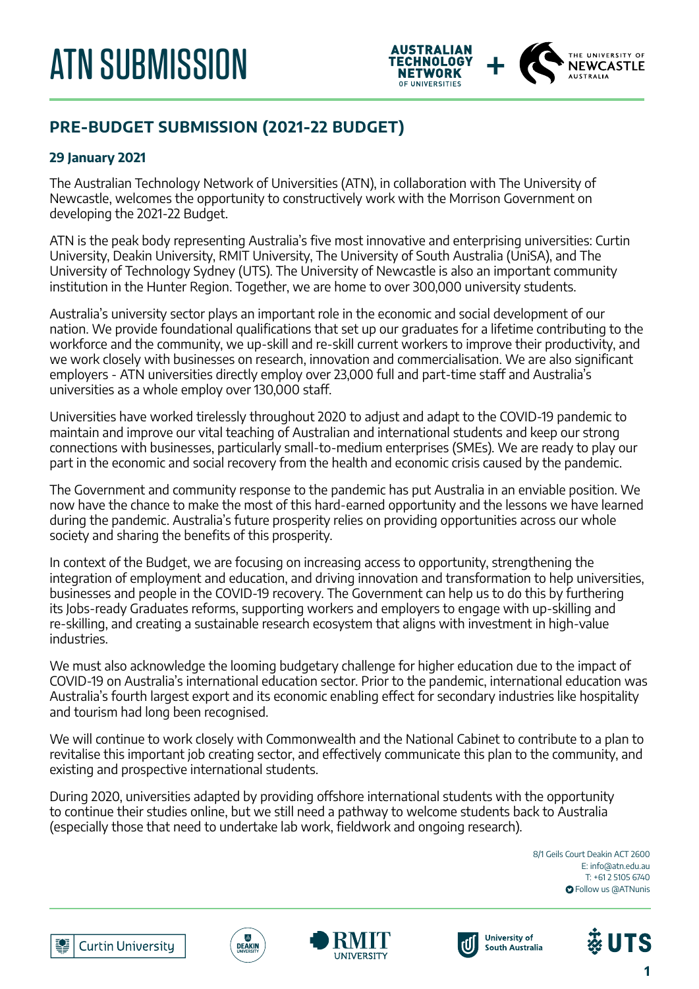

# **PRE-BUDGET SUBMISSION (2021-22 BUDGET)**

# **29 January 2021**

The Australian Technology Network of Universities (ATN), in collaboration with The University of Newcastle, welcomes the opportunity to constructively work with the Morrison Government on developing the 2021-22 Budget.

ATN is the peak body representing Australia's five most innovative and enterprising universities: Curtin University, Deakin University, RMIT University, The University of South Australia (UniSA), and The University of Technology Sydney (UTS). The University of Newcastle is also an important community institution in the Hunter Region. Together, we are home to over 300,000 university students.

Australia's university sector plays an important role in the economic and social development of our nation. We provide foundational qualifications that set up our graduates for a lifetime contributing to the workforce and the community, we up-skill and re-skill current workers to improve their productivity, and we work closely with businesses on research, innovation and commercialisation. We are also significant employers - ATN universities directly employ over 23,000 full and part-time staff and Australia's universities as a whole employ over 130,000 staff.

Universities have worked tirelessly throughout 2020 to adjust and adapt to the COVID-19 pandemic to maintain and improve our vital teaching of Australian and international students and keep our strong connections with businesses, particularly small-to-medium enterprises (SMEs). We are ready to play our part in the economic and social recovery from the health and economic crisis caused by the pandemic.

The Government and community response to the pandemic has put Australia in an enviable position. We now have the chance to make the most of this hard-earned opportunity and the lessons we have learned during the pandemic. Australia's future prosperity relies on providing opportunities across our whole society and sharing the benefits of this prosperity.

In context of the Budget, we are focusing on increasing access to opportunity, strengthening the integration of employment and education, and driving innovation and transformation to help universities, businesses and people in the COVID-19 recovery. The Government can help us to do this by furthering its Jobs-ready Graduates reforms, supporting workers and employers to engage with up-skilling and re-skilling, and creating a sustainable research ecosystem that aligns with investment in high-value industries.

We must also acknowledge the looming budgetary challenge for higher education due to the impact of COVID-19 on Australia's international education sector. Prior to the pandemic, international education was Australia's fourth largest export and its economic enabling effect for secondary industries like hospitality and tourism had long been recognised.

We will continue to work closely with Commonwealth and the National Cabinet to contribute to a plan to revitalise this important job creating sector, and effectively communicate this plan to the community, and existing and prospective international students.

During 2020, universities adapted by providing offshore international students with the opportunity to continue their studies online, but we still need a pathway to welcome students back to Australia (especially those that need to undertake lab work, fieldwork and ongoing research).

> 8/1 Geils Court Deakin ACT 2600 E: info@atn.edu.au T: +61 2 5105 6740 **O** Follow us @ATNunis











**1**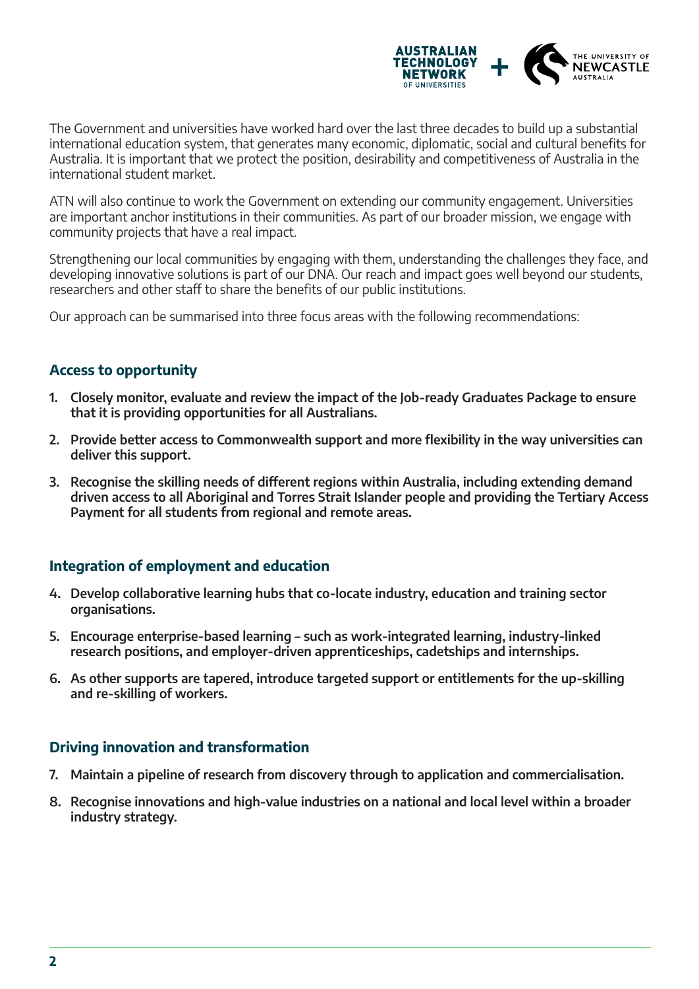

The Government and universities have worked hard over the last three decades to build up a substantial international education system, that generates many economic, diplomatic, social and cultural benefits for Australia. It is important that we protect the position, desirability and competitiveness of Australia in the international student market.

ATN will also continue to work the Government on extending our community engagement. Universities are important anchor institutions in their communities. As part of our broader mission, we engage with community projects that have a real impact.

Strengthening our local communities by engaging with them, understanding the challenges they face, and developing innovative solutions is part of our DNA. Our reach and impact goes well beyond our students, researchers and other staff to share the benefits of our public institutions.

Our approach can be summarised into three focus areas with the following recommendations:

### **Access to opportunity**

- **1. Closely monitor, evaluate and review the impact of the Job-ready Graduates Package to ensure that it is providing opportunities for all Australians.**
- **2. Provide better access to Commonwealth support and more flexibility in the way universities can deliver this support.**
- **3. Recognise the skilling needs of different regions within Australia, including extending demand driven access to all Aboriginal and Torres Strait Islander people and providing the Tertiary Access Payment for all students from regional and remote areas.**

## **Integration of employment and education**

- **4. Develop collaborative learning hubs that co-locate industry, education and training sector organisations.**
- **5. Encourage enterprise-based learning such as work-integrated learning, industry-linked research positions, and employer-driven apprenticeships, cadetships and internships.**
- **6. As other supports are tapered, introduce targeted support or entitlements for the up-skilling and re-skilling of workers.**

## **Driving innovation and transformation**

- **7. Maintain a pipeline of research from discovery through to application and commercialisation.**
- **8. Recognise innovations and high-value industries on a national and local level within a broader industry strategy.**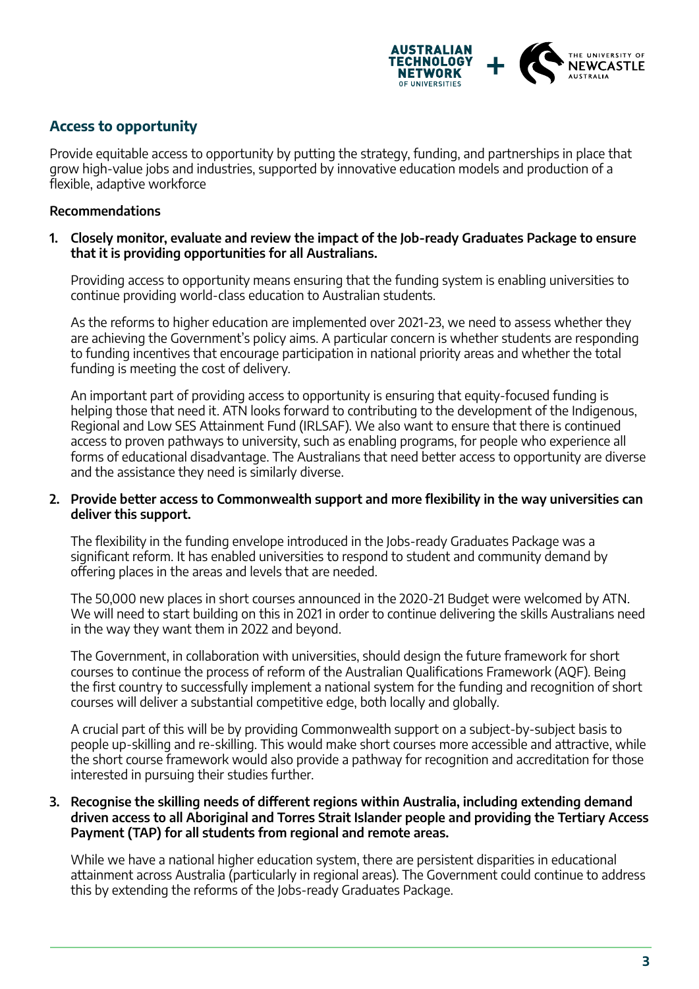

# **Access to opportunity**

Provide equitable access to opportunity by putting the strategy, funding, and partnerships in place that grow high-value jobs and industries, supported by innovative education models and production of a flexible, adaptive workforce

#### **Recommendations**

**1. Closely monitor, evaluate and review the impact of the Job-ready Graduates Package to ensure that it is providing opportunities for all Australians.** 

Providing access to opportunity means ensuring that the funding system is enabling universities to continue providing world-class education to Australian students.

As the reforms to higher education are implemented over 2021-23, we need to assess whether they are achieving the Government's policy aims. A particular concern is whether students are responding to funding incentives that encourage participation in national priority areas and whether the total funding is meeting the cost of delivery.

An important part of providing access to opportunity is ensuring that equity-focused funding is helping those that need it. ATN looks forward to contributing to the development of the Indigenous, Regional and Low SES Attainment Fund (IRLSAF). We also want to ensure that there is continued access to proven pathways to university, such as enabling programs, for people who experience all forms of educational disadvantage. The Australians that need better access to opportunity are diverse and the assistance they need is similarly diverse.

#### **2. Provide better access to Commonwealth support and more flexibility in the way universities can deliver this support.**

The flexibility in the funding envelope introduced in the Jobs-ready Graduates Package was a significant reform. It has enabled universities to respond to student and community demand by offering places in the areas and levels that are needed.

The 50,000 new places in short courses announced in the 2020-21 Budget were welcomed by ATN. We will need to start building on this in 2021 in order to continue delivering the skills Australians need in the way they want them in 2022 and beyond.

The Government, in collaboration with universities, should design the future framework for short courses to continue the process of reform of the Australian Qualifications Framework (AQF). Being the first country to successfully implement a national system for the funding and recognition of short courses will deliver a substantial competitive edge, both locally and globally.

A crucial part of this will be by providing Commonwealth support on a subject-by-subject basis to people up-skilling and re-skilling. This would make short courses more accessible and attractive, while the short course framework would also provide a pathway for recognition and accreditation for those interested in pursuing their studies further.

#### **3. Recognise the skilling needs of different regions within Australia, including extending demand driven access to all Aboriginal and Torres Strait Islander people and providing the Tertiary Access Payment (TAP) for all students from regional and remote areas.**

While we have a national higher education system, there are persistent disparities in educational attainment across Australia (particularly in regional areas). The Government could continue to address this by extending the reforms of the Jobs-ready Graduates Package.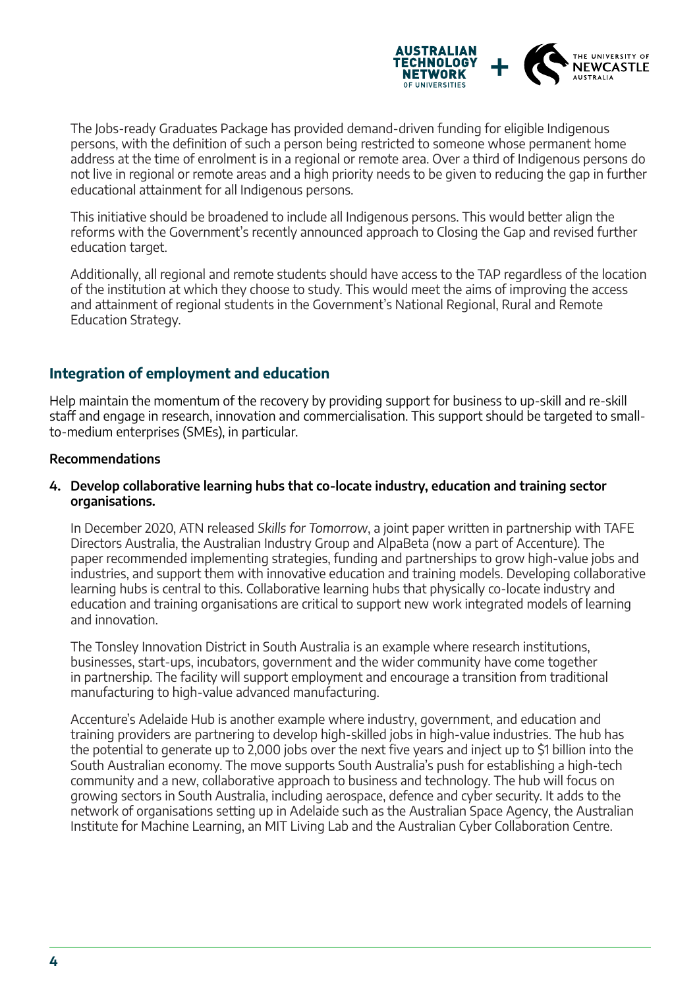

The Jobs-ready Graduates Package has provided demand-driven funding for eligible Indigenous persons, with the definition of such a person being restricted to someone whose permanent home address at the time of enrolment is in a regional or remote area. Over a third of Indigenous persons do not live in regional or remote areas and a high priority needs to be given to reducing the gap in further educational attainment for all Indigenous persons.

This initiative should be broadened to include all Indigenous persons. This would better align the reforms with the Government's recently announced approach to Closing the Gap and revised further education target.

Additionally, all regional and remote students should have access to the TAP regardless of the location of the institution at which they choose to study. This would meet the aims of improving the access and attainment of regional students in the Government's National Regional, Rural and Remote Education Strategy.

# **Integration of employment and education**

Help maintain the momentum of the recovery by providing support for business to up-skill and re-skill staff and engage in research, innovation and commercialisation. This support should be targeted to smallto-medium enterprises (SMEs), in particular.

#### **Recommendations**

#### **4. Develop collaborative learning hubs that co-locate industry, education and training sector organisations.**

In December 2020, ATN released Skills for Tomorrow, a joint paper written in partnership with TAFE Directors Australia, the Australian Industry Group and AlpaBeta (now a part of Accenture). The paper recommended implementing strategies, funding and partnerships to grow high-value jobs and industries, and support them with innovative education and training models. Developing collaborative learning hubs is central to this. Collaborative learning hubs that physically co-locate industry and education and training organisations are critical to support new work integrated models of learning and innovation.

The Tonsley Innovation District in South Australia is an example where research institutions, businesses, start-ups, incubators, government and the wider community have come together in partnership. The facility will support employment and encourage a transition from traditional manufacturing to high-value advanced manufacturing.

Accenture's Adelaide Hub is another example where industry, government, and education and training providers are partnering to develop high-skilled jobs in high-value industries. The hub has the potential to generate up to 2,000 jobs over the next five years and inject up to \$1 billion into the South Australian economy. The move supports South Australia's push for establishing a high-tech community and a new, collaborative approach to business and technology. The hub will focus on growing sectors in South Australia, including aerospace, defence and cyber security. It adds to the network of organisations setting up in Adelaide such as the Australian Space Agency, the Australian Institute for Machine Learning, an MIT Living Lab and the Australian Cyber Collaboration Centre.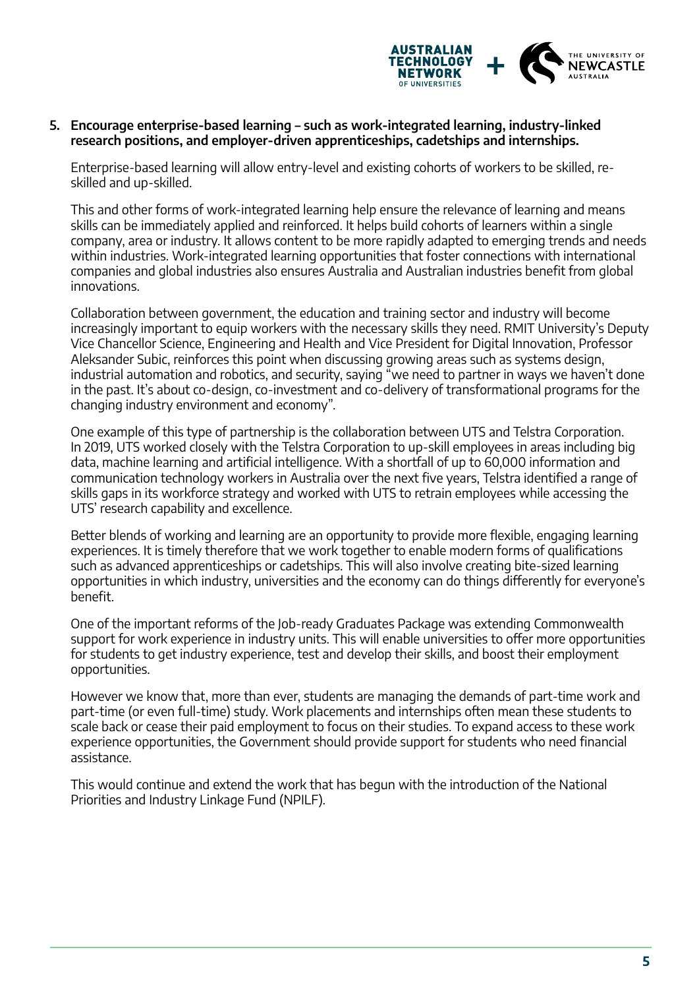

#### **5. Encourage enterprise-based learning – such as work-integrated learning, industry-linked research positions, and employer-driven apprenticeships, cadetships and internships.**

Enterprise-based learning will allow entry-level and existing cohorts of workers to be skilled, reskilled and up-skilled.

This and other forms of work-integrated learning help ensure the relevance of learning and means skills can be immediately applied and reinforced. It helps build cohorts of learners within a single company, area or industry. It allows content to be more rapidly adapted to emerging trends and needs within industries. Work-integrated learning opportunities that foster connections with international companies and global industries also ensures Australia and Australian industries benefit from global innovations.

Collaboration between government, the education and training sector and industry will become increasingly important to equip workers with the necessary skills they need. RMIT University's Deputy Vice Chancellor Science, Engineering and Health and Vice President for Digital Innovation, Professor Aleksander Subic, reinforces this point when discussing growing areas such as systems design, industrial automation and robotics, and security, saying "we need to partner in ways we haven't done in the past. It's about co-design, co-investment and co-delivery of transformational programs for the changing industry environment and economy".

One example of this type of partnership is the collaboration between UTS and Telstra Corporation. In 2019, UTS worked closely with the Telstra Corporation to up-skill employees in areas including big data, machine learning and artificial intelligence. With a shortfall of up to 60,000 information and communication technology workers in Australia over the next five years, Telstra identified a range of skills gaps in its workforce strategy and worked with UTS to retrain employees while accessing the UTS' research capability and excellence.

Better blends of working and learning are an opportunity to provide more flexible, engaging learning experiences. It is timely therefore that we work together to enable modern forms of qualifications such as advanced apprenticeships or cadetships. This will also involve creating bite-sized learning opportunities in which industry, universities and the economy can do things differently for everyone's benefit.

One of the important reforms of the Job-ready Graduates Package was extending Commonwealth support for work experience in industry units. This will enable universities to offer more opportunities for students to get industry experience, test and develop their skills, and boost their employment opportunities.

However we know that, more than ever, students are managing the demands of part-time work and part-time (or even full-time) study. Work placements and internships often mean these students to scale back or cease their paid employment to focus on their studies. To expand access to these work experience opportunities, the Government should provide support for students who need financial assistance.

This would continue and extend the work that has begun with the introduction of the National Priorities and Industry Linkage Fund (NPILF).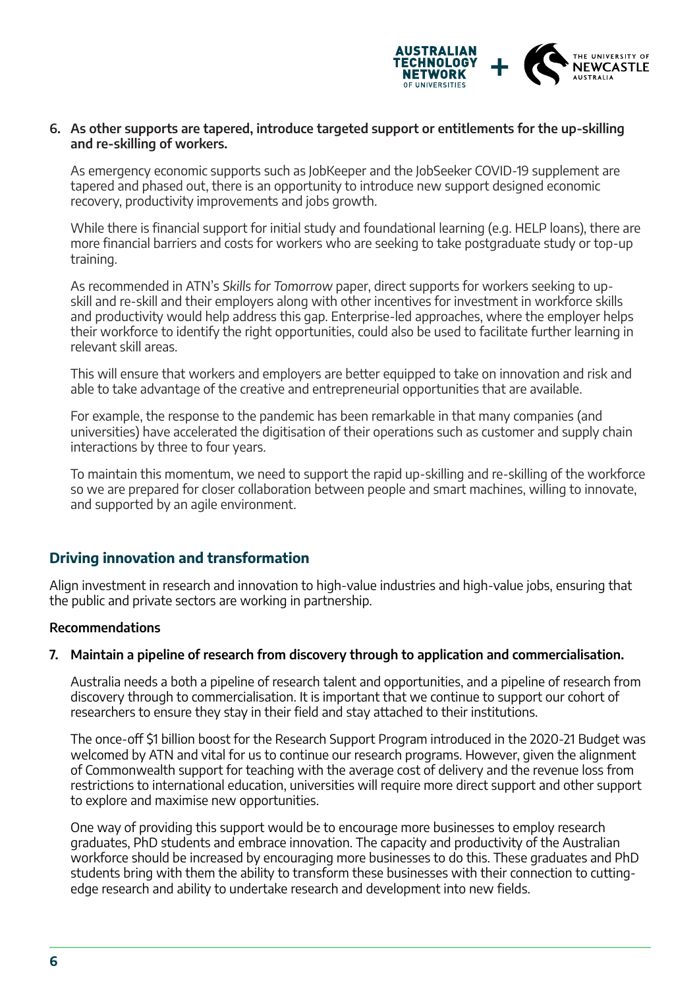

#### **6. As other supports are tapered, introduce targeted support or entitlements for the up-skilling and re-skilling of workers.**

As emergency economic supports such as JobKeeper and the JobSeeker COVID-19 supplement are tapered and phased out, there is an opportunity to introduce new support designed economic recovery, productivity improvements and jobs growth.

While there is financial support for initial study and foundational learning (e.g. HELP loans), there are more financial barriers and costs for workers who are seeking to take postgraduate study or top-up training.

As recommended in ATN's Skills for Tomorrow paper, direct supports for workers seeking to upskill and re-skill and their employers along with other incentives for investment in workforce skills and productivity would help address this gap. Enterprise-led approaches, where the employer helps their workforce to identify the right opportunities, could also be used to facilitate further learning in relevant skill areas.

This will ensure that workers and employers are better equipped to take on innovation and risk and able to take advantage of the creative and entrepreneurial opportunities that are available.

For example, the response to the pandemic has been remarkable in that many companies (and universities) have accelerated the digitisation of their operations such as customer and supply chain interactions by three to four years.

To maintain this momentum, we need to support the rapid up-skilling and re-skilling of the workforce so we are prepared for closer collaboration between people and smart machines, willing to innovate, and supported by an agile environment.

## **Driving innovation and transformation**

Align investment in research and innovation to high-value industries and high-value jobs, ensuring that the public and private sectors are working in partnership.

#### **Recommendations**

#### **7. Maintain a pipeline of research from discovery through to application and commercialisation.**

Australia needs a both a pipeline of research talent and opportunities, and a pipeline of research from discovery through to commercialisation. It is important that we continue to support our cohort of researchers to ensure they stay in their field and stay attached to their institutions.

The once-off \$1 billion boost for the Research Support Program introduced in the 2020-21 Budget was welcomed by ATN and vital for us to continue our research programs. However, given the alignment of Commonwealth support for teaching with the average cost of delivery and the revenue loss from restrictions to international education, universities will require more direct support and other support to explore and maximise new opportunities.

One way of providing this support would be to encourage more businesses to employ research graduates, PhD students and embrace innovation. The capacity and productivity of the Australian workforce should be increased by encouraging more businesses to do this. These graduates and PhD students bring with them the ability to transform these businesses with their connection to cuttingedge research and ability to undertake research and development into new fields.